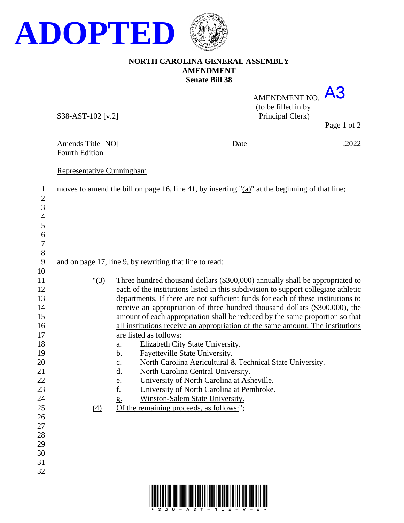

## **NORTH CAROLINA GENERAL ASSEMBLY AMENDMENT Senate Bill 38**

| AMENDMENT NO.       |                                            |
|---------------------|--------------------------------------------|
| (to be filled in by |                                            |
| Principal Clerk)    |                                            |
|                     | $D_{0}$ $\alpha$ $\alpha$ $\beta$ $\gamma$ |

S38-AST-102 [v.2]

Page 1 of 2

Fourth Edition

Amends Title [NO] Date ,2022

## Representative Cunningham

| $\mathbf{1}$<br>$\mathbf{2}$ | moves to amend the bill on page 16, line 41, by inserting "(a)" at the beginning of that line; |                                                                                    |  |  |
|------------------------------|------------------------------------------------------------------------------------------------|------------------------------------------------------------------------------------|--|--|
| 3                            |                                                                                                |                                                                                    |  |  |
| $\overline{\mathcal{L}}$     |                                                                                                |                                                                                    |  |  |
| 5                            |                                                                                                |                                                                                    |  |  |
| 6                            |                                                                                                |                                                                                    |  |  |
| $\overline{7}$               |                                                                                                |                                                                                    |  |  |
| $8\,$                        |                                                                                                |                                                                                    |  |  |
| 9                            |                                                                                                | and on page 17, line 9, by rewriting that line to read:                            |  |  |
| 10                           |                                                                                                |                                                                                    |  |  |
| 11                           | " (3)                                                                                          | Three hundred thousand dollars (\$300,000) annually shall be appropriated to       |  |  |
| 12                           |                                                                                                | each of the institutions listed in this subdivision to support collegiate athletic |  |  |
| 13                           |                                                                                                | departments. If there are not sufficient funds for each of these institutions to   |  |  |
| 14                           |                                                                                                | receive an appropriation of three hundred thousand dollars (\$300,000), the        |  |  |
| 15                           |                                                                                                | amount of each appropriation shall be reduced by the same proportion so that       |  |  |
| 16                           |                                                                                                | all institutions receive an appropriation of the same amount. The institutions     |  |  |
| 17                           |                                                                                                | are listed as follows:                                                             |  |  |
| 18                           |                                                                                                | Elizabeth City State University.<br>$\underline{a}$ .                              |  |  |
| 19                           |                                                                                                | <u>b.</u><br><b>Fayetteville State University.</b>                                 |  |  |
| 20                           |                                                                                                | North Carolina Agricultural & Technical State University.<br>$\underline{c}$ .     |  |  |
| 21                           |                                                                                                | $\underline{\mathrm{d}}$ .<br>North Carolina Central University.                   |  |  |
| 22                           |                                                                                                | University of North Carolina at Asheville.<br>$\frac{e}{f}$                        |  |  |
| 23                           |                                                                                                | University of North Carolina at Pembroke.                                          |  |  |
| 24                           |                                                                                                | Winston-Salem State University.<br>$g_{\cdot}$                                     |  |  |
| 25                           | (4)                                                                                            | Of the remaining proceeds, as follows:";                                           |  |  |
| 26<br>27                     |                                                                                                |                                                                                    |  |  |
| 28                           |                                                                                                |                                                                                    |  |  |
| 29                           |                                                                                                |                                                                                    |  |  |
| 30                           |                                                                                                |                                                                                    |  |  |
| 31                           |                                                                                                |                                                                                    |  |  |
| 32                           |                                                                                                |                                                                                    |  |  |
|                              |                                                                                                |                                                                                    |  |  |